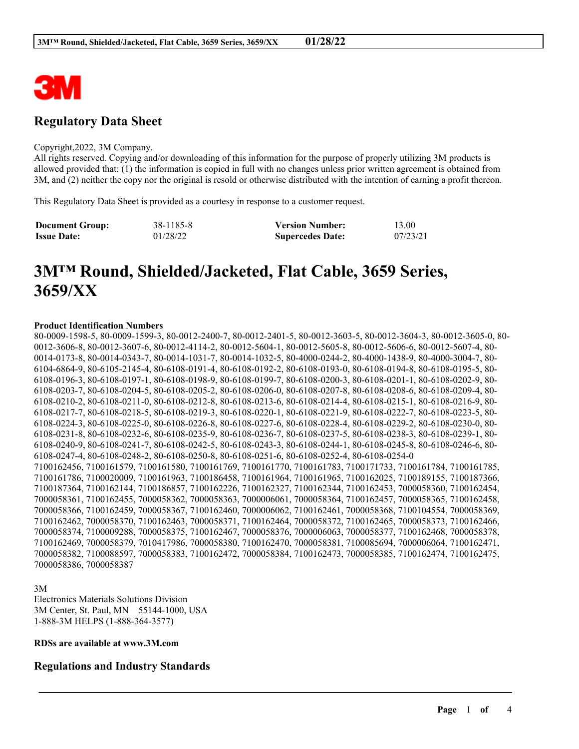

# **Regulatory Data Sheet**

#### Copyright,2022, 3M Company.

All rights reserved. Copying and/or downloading of this information for the purpose of properly utilizing 3M products is allowed provided that: (1) the information is copied in full with no changes unless prior written agreement is obtained from 3M, and (2) neither the copy nor the original is resold or otherwise distributed with the intention of earning a profit thereon.

This Regulatory Data Sheet is provided as a courtesy in response to a customer request.

| <b>Document Group:</b> | 38-1185-8 | <b>Version Number:</b>  | 13.00    |
|------------------------|-----------|-------------------------|----------|
| <b>Issue Date:</b>     | 01/28/22  | <b>Supercedes Date:</b> | 07/23/21 |

# **3M™ Round, Shielded/Jacketed, Flat Cable, 3659 Series, 3659/XX**

#### **Product Identification Numbers**

80-0009-1598-5, 80-0009-1599-3, 80-0012-2400-7, 80-0012-2401-5, 80-0012-3603-5, 80-0012-3604-3, 80-0012-3605-0, 80- 0012-3606-8, 80-0012-3607-6, 80-0012-4114-2, 80-0012-5604-1, 80-0012-5605-8, 80-0012-5606-6, 80-0012-5607-4, 80- 0014-0173-8, 80-0014-0343-7, 80-0014-1031-7, 80-0014-1032-5, 80-4000-0244-2, 80-4000-1438-9, 80-4000-3004-7, 80- 6104-6864-9, 80-6105-2145-4, 80-6108-0191-4, 80-6108-0192-2, 80-6108-0193-0, 80-6108-0194-8, 80-6108-0195-5, 80- 6108-0196-3, 80-6108-0197-1, 80-6108-0198-9, 80-6108-0199-7, 80-6108-0200-3, 80-6108-0201-1, 80-6108-0202-9, 80- 6108-0203-7, 80-6108-0204-5, 80-6108-0205-2, 80-6108-0206-0, 80-6108-0207-8, 80-6108-0208-6, 80-6108-0209-4, 80- 6108-0210-2, 80-6108-0211-0, 80-6108-0212-8, 80-6108-0213-6, 80-6108-0214-4, 80-6108-0215-1, 80-6108-0216-9, 80- 6108-0217-7, 80-6108-0218-5, 80-6108-0219-3, 80-6108-0220-1, 80-6108-0221-9, 80-6108-0222-7, 80-6108-0223-5, 80- 6108-0224-3, 80-6108-0225-0, 80-6108-0226-8, 80-6108-0227-6, 80-6108-0228-4, 80-6108-0229-2, 80-6108-0230-0, 80- 6108-0231-8, 80-6108-0232-6, 80-6108-0235-9, 80-6108-0236-7, 80-6108-0237-5, 80-6108-0238-3, 80-6108-0239-1, 80- 6108-0240-9, 80-6108-0241-7, 80-6108-0242-5, 80-6108-0243-3, 80-6108-0244-1, 80-6108-0245-8, 80-6108-0246-6, 80- 6108-0247-4, 80-6108-0248-2, 80-6108-0250-8, 80-6108-0251-6, 80-6108-0252-4, 80-6108-0254-0 7100162456, 7100161579, 7100161580, 7100161769, 7100161770, 7100161783, 7100171733, 7100161784, 7100161785, 7100161786, 7100020009, 7100161963, 7100186458, 7100161964, 7100161965, 7100162025, 7100189155, 7100187366, 7100187364, 7100162144, 7100186857, 7100162226, 7100162327, 7100162344, 7100162453, 7000058360, 7100162454, 7000058361, 7100162455, 7000058362, 7000058363, 7000006061, 7000058364, 7100162457, 7000058365, 7100162458, 7000058366, 7100162459, 7000058367, 7100162460, 7000006062, 7100162461, 7000058368, 7100104554, 7000058369, 7100162462, 7000058370, 7100162463, 7000058371, 7100162464, 7000058372, 7100162465, 7000058373, 7100162466, 7000058374, 7100009288, 7000058375, 7100162467, 7000058376, 7000006063, 7000058377, 7100162468, 7000058378, 7100162469, 7000058379, 7010417986, 7000058380, 7100162470, 7000058381, 7100085694, 7000006064, 7100162471, 7000058382, 7100088597, 7000058383, 7100162472, 7000058384, 7100162473, 7000058385, 7100162474, 7100162475, 7000058386, 7000058387

\_\_\_\_\_\_\_\_\_\_\_\_\_\_\_\_\_\_\_\_\_\_\_\_\_\_\_\_\_\_\_\_\_\_\_\_\_\_\_\_\_\_\_\_\_\_\_\_\_\_\_\_\_\_\_\_\_\_\_\_\_\_\_\_\_\_\_\_\_\_\_\_\_\_\_\_\_\_\_\_\_\_\_\_\_\_\_\_\_\_

3M

Electronics Materials Solutions Division 3M Center, St. Paul, MN 55144-1000, USA 1-888-3M HELPS (1-888-364-3577)

# **RDSs are available at www.3M.com**

#### **Regulations and Industry Standards**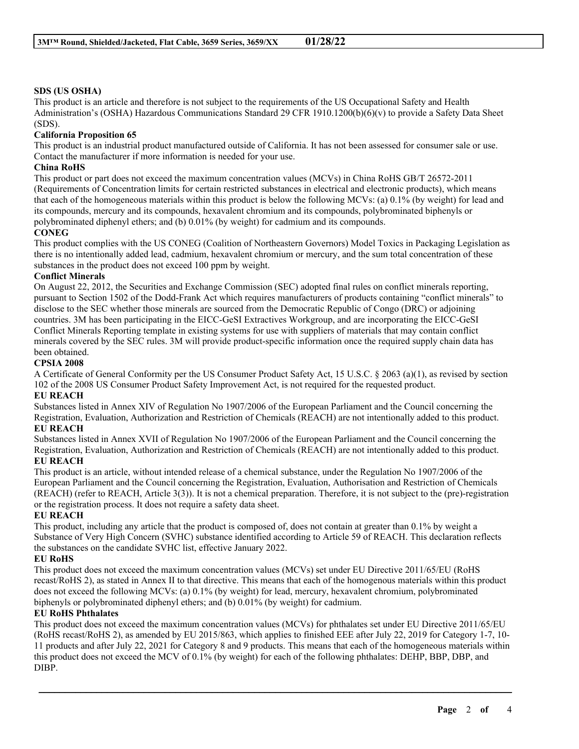#### **SDS (US OSHA)**

This product is an article and therefore is not subject to the requirements of the US Occupational Safety and Health Administration's (OSHA) Hazardous Communications Standard 29 CFR 1910.1200(b)(6)(v) to provide a Safety Data Sheet (SDS).

#### **California Proposition 65**

This product is an industrial product manufactured outside of California. It has not been assessed for consumer sale or use. Contact the manufacturer if more information is needed for your use.

# **China RoHS**

This product or part does not exceed the maximum concentration values (MCVs) in China RoHS GB/T 26572-2011 (Requirements of Concentration limits for certain restricted substances in electrical and electronic products), which means that each of the homogeneous materials within this product is below the following MCVs: (a) 0.1% (by weight) for lead and its compounds, mercury and its compounds, hexavalent chromium and its compounds, polybrominated biphenyls or polybrominated diphenyl ethers; and (b) 0.01% (by weight) for cadmium and its compounds.

#### **CONEG**

This product complies with the US CONEG (Coalition of Northeastern Governors) Model Toxics in Packaging Legislation as there is no intentionally added lead, cadmium, hexavalent chromium or mercury, and the sum total concentration of these substances in the product does not exceed 100 ppm by weight.

#### **Conflict Minerals**

On August 22, 2012, the Securities and Exchange Commission (SEC) adopted final rules on conflict minerals reporting, pursuant to Section 1502 of the Dodd-Frank Act which requires manufacturers of products containing "conflict minerals" to disclose to the SEC whether those minerals are sourced from the Democratic Republic of Congo (DRC) or adjoining countries. 3M has been participating in the EICC-GeSI Extractives Workgroup, and are incorporating the EICC-GeSI Conflict Minerals Reporting template in existing systems for use with suppliers of materials that may contain conflict minerals covered by the SEC rules. 3M will provide product-specific information once the required supply chain data has been obtained.

#### **CPSIA 2008**

A Certificate of General Conformity per the US Consumer Product Safety Act, 15 U.S.C. § 2063 (a)(1), as revised by section 102 of the 2008 US Consumer Product Safety Improvement Act, is not required for the requested product.

#### **EU REACH**

Substances listed in Annex XIV of Regulation No 1907/2006 of the European Parliament and the Council concerning the Registration, Evaluation, Authorization and Restriction of Chemicals (REACH) are not intentionally added to this product. **EU REACH**

Substances listed in Annex XVII of Regulation No 1907/2006 of the European Parliament and the Council concerning the Registration, Evaluation, Authorization and Restriction of Chemicals (REACH) are not intentionally added to this product. **EU REACH**

# This product is an article, without intended release of a chemical substance, under the Regulation No 1907/2006 of the European Parliament and the Council concerning the Registration, Evaluation, Authorisation and Restriction of Chemicals (REACH) (refer to REACH, Article 3(3)). It is not a chemical preparation. Therefore, it is not subject to the (pre)-registration or the registration process. It does not require a safety data sheet.

#### **EU REACH**

This product, including any article that the product is composed of, does not contain at greater than 0.1% by weight a Substance of Very High Concern (SVHC) substance identified according to Article 59 of REACH. This declaration reflects the substances on the candidate SVHC list, effective January 2022.

#### **EU RoHS**

This product does not exceed the maximum concentration values (MCVs) set under EU Directive 2011/65/EU (RoHS recast/RoHS 2), as stated in Annex II to that directive. This means that each of the homogenous materials within this product does not exceed the following MCVs: (a) 0.1% (by weight) for lead, mercury, hexavalent chromium, polybrominated biphenyls or polybrominated diphenyl ethers; and (b) 0.01% (by weight) for cadmium.

#### **EU RoHS Phthalates**

This product does not exceed the maximum concentration values (MCVs) for phthalates set under EU Directive 2011/65/EU (RoHS recast/RoHS 2), as amended by EU 2015/863, which applies to finished EEE after July 22, 2019 for Category 1-7, 10- 11 products and after July 22, 2021 for Category 8 and 9 products. This means that each of the homogeneous materials within this product does not exceed the MCV of 0.1% (by weight) for each of the following phthalates: DEHP, BBP, DBP, and DIBP.

\_\_\_\_\_\_\_\_\_\_\_\_\_\_\_\_\_\_\_\_\_\_\_\_\_\_\_\_\_\_\_\_\_\_\_\_\_\_\_\_\_\_\_\_\_\_\_\_\_\_\_\_\_\_\_\_\_\_\_\_\_\_\_\_\_\_\_\_\_\_\_\_\_\_\_\_\_\_\_\_\_\_\_\_\_\_\_\_\_\_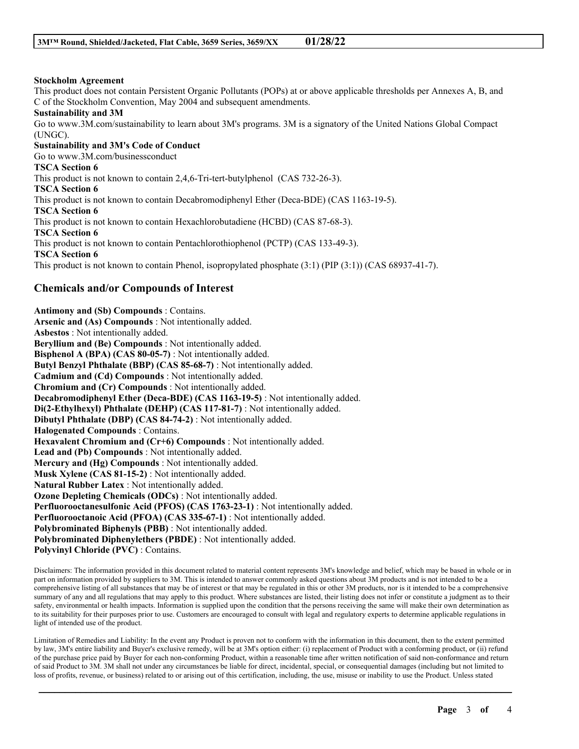#### **Stockholm Agreement**

This product does not contain Persistent Organic Pollutants (POPs) at or above applicable thresholds per Annexes A, B, and C of the Stockholm Convention, May 2004 and subsequent amendments.

#### **Sustainability and 3M**

Go to www.3M.com/sustainability to learn about 3M's programs. 3M is a signatory of the United Nations Global Compact (UNGC).

**Sustainability and 3M's Code of Conduct** Go to www.3M.com/businessconduct **TSCA Section 6** This product is not known to contain 2,4,6-Tri-tert-butylphenol (CAS 732-26-3). **TSCA Section 6** This product is not known to contain Decabromodiphenyl Ether (Deca-BDE) (CAS 1163-19-5). **TSCA Section 6** This product is not known to contain Hexachlorobutadiene (HCBD) (CAS 87-68-3). **TSCA Section 6** This product is not known to contain Pentachlorothiophenol (PCTP) (CAS 133-49-3). **TSCA Section 6** This product is not known to contain Phenol, isopropylated phosphate (3:1) (PIP (3:1)) (CAS 68937-41-7).

# **Chemicals and/or Compounds of Interest**

**Antimony and (Sb) Compounds** : Contains. **Arsenic and (As) Compounds** : Not intentionally added. **Asbestos** : Not intentionally added. **Beryllium and (Be) Compounds** : Not intentionally added. **Bisphenol A (BPA) (CAS 80-05-7)** : Not intentionally added. **Butyl Benzyl Phthalate (BBP) (CAS 85-68-7)** : Not intentionally added. **Cadmium and (Cd) Compounds** : Not intentionally added. **Chromium and (Cr) Compounds** : Not intentionally added. **Decabromodiphenyl Ether (Deca-BDE) (CAS 1163-19-5)** : Not intentionally added. **Di(2-Ethylhexyl) Phthalate (DEHP) (CAS 117-81-7)** : Not intentionally added. **Dibutyl Phthalate (DBP) (CAS 84-74-2)** : Not intentionally added. **Halogenated Compounds** : Contains. **Hexavalent Chromium and (Cr+6) Compounds** : Not intentionally added. **Lead and (Pb) Compounds** : Not intentionally added. **Mercury and (Hg) Compounds** : Not intentionally added. **Musk Xylene (CAS 81-15-2)** : Not intentionally added. **Natural Rubber Latex** : Not intentionally added. **Ozone Depleting Chemicals (ODCs)** : Not intentionally added. **Perfluorooctanesulfonic Acid (PFOS) (CAS 1763-23-1)** : Not intentionally added. **Perfluorooctanoic Acid (PFOA) (CAS 335-67-1)** : Not intentionally added. **Polybrominated Biphenyls (PBB)** : Not intentionally added. **Polybrominated Diphenylethers (PBDE)** : Not intentionally added. **Polyvinyl Chloride (PVC)** : Contains.

Disclaimers: The information provided in this document related to material content represents 3M's knowledge and belief, which may be based in whole or in part on information provided by suppliers to 3M. This is intended to answer commonly asked questions about 3M products and is not intended to be a comprehensive listing of all substances that may be of interest or that may be regulated in this or other 3M products, nor is it intended to be a comprehensive summary of any and all regulations that may apply to this product. Where substances are listed, their listing does not infer or constitute a judgment as to their safety, environmental or health impacts. Information is supplied upon the condition that the persons receiving the same will make their own determination as to its suitability for their purposes prior to use. Customers are encouraged to consult with legal and regulatory experts to determine applicable regulations in light of intended use of the product.

Limitation of Remedies and Liability: In the event any Product is proven not to conform with the information in this document, then to the extent permitted by law, 3M's entire liability and Buyer's exclusive remedy, will be at 3M's option either: (i) replacement of Product with a conforming product, or (ii) refund of the purchase price paid by Buyer for each non-conforming Product, within a reasonable time after written notification of said non-conformance and return of said Product to 3M. 3M shall not under any circumstances be liable for direct, incidental, special, or consequential damages (including but not limited to loss of profits, revenue, or business) related to or arising out of this certification, including, the use, misuse or inability to use the Product. Unless stated

\_\_\_\_\_\_\_\_\_\_\_\_\_\_\_\_\_\_\_\_\_\_\_\_\_\_\_\_\_\_\_\_\_\_\_\_\_\_\_\_\_\_\_\_\_\_\_\_\_\_\_\_\_\_\_\_\_\_\_\_\_\_\_\_\_\_\_\_\_\_\_\_\_\_\_\_\_\_\_\_\_\_\_\_\_\_\_\_\_\_